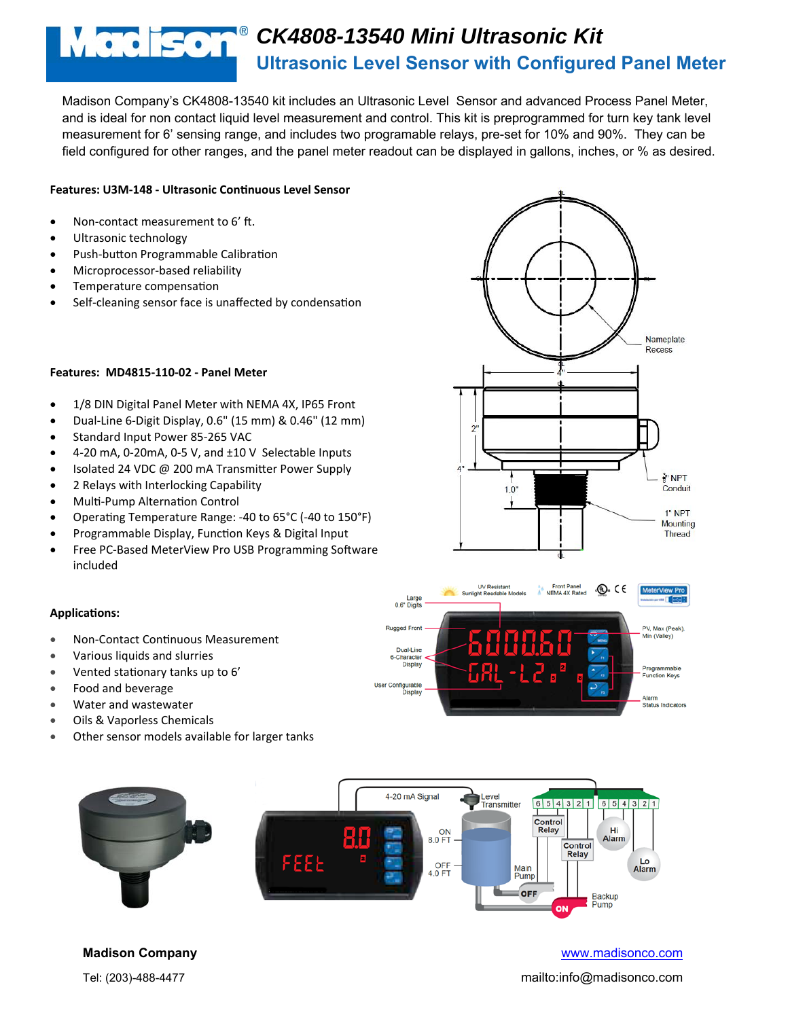# **CK4808-13540 Mini Ultrasonic Kit Ultrasonic Level Sensor with Configured Panel Meter**

Madison Company's CK4808-13540 kit includes an Ultrasonic Level Sensor and advanced Process Panel Meter, and is ideal for non contact liquid level measurement and control. This kit is preprogrammed for turn key tank level measurement for 6' sensing range, and includes two programable relays, pre-set for 10% and 90%. They can be field configured for other ranges, and the panel meter readout can be displayed in gallons, inches, or % as desired.

## **Features: U3M‐148 ‐ Ultrasonic ConƟnuous Level Sensor**

- Non-contact measurement to 6' ft.
- Ultrasonic technology
- Push-button Programmable Calibration
- Microprocessor‐based reliability
- Temperature compensation
- Self-cleaning sensor face is unaffected by condensation

## **Features: MD4815‐110‐02 ‐ Panel Meter**

- 1/8 DIN Digital Panel Meter with NEMA 4X, IP65 Front
- Dual‐Line 6‐Digit Display, 0.6" (15 mm) & 0.46" (12 mm)
- Standard Input Power 85‐265 VAC
- 4‐20 mA, 0‐20mA, 0‐5 V, and ±10 V Selectable Inputs
- Isolated 24 VDC @ 200 mA Transmitter Power Supply
- 2 Relays with Interlocking Capability
- Multi-Pump Alternation Control
- Operating Temperature Range: -40 to 65°C (-40 to 150°F)
- Programmable Display, Function Keys & Digital Input
- Free PC-Based MeterView Pro USB Programming Software included





## **ApplicaƟons:**

- Non‐Contact ConƟnuous Measurement
- Various liquids and slurries
- Vented stationary tanks up to 6'
- Food and beverage
- Water and wastewater
- Oils & Vaporless Chemicals
- Other sensor models available for larger tanks



## **Madison Company** www.madisonco.com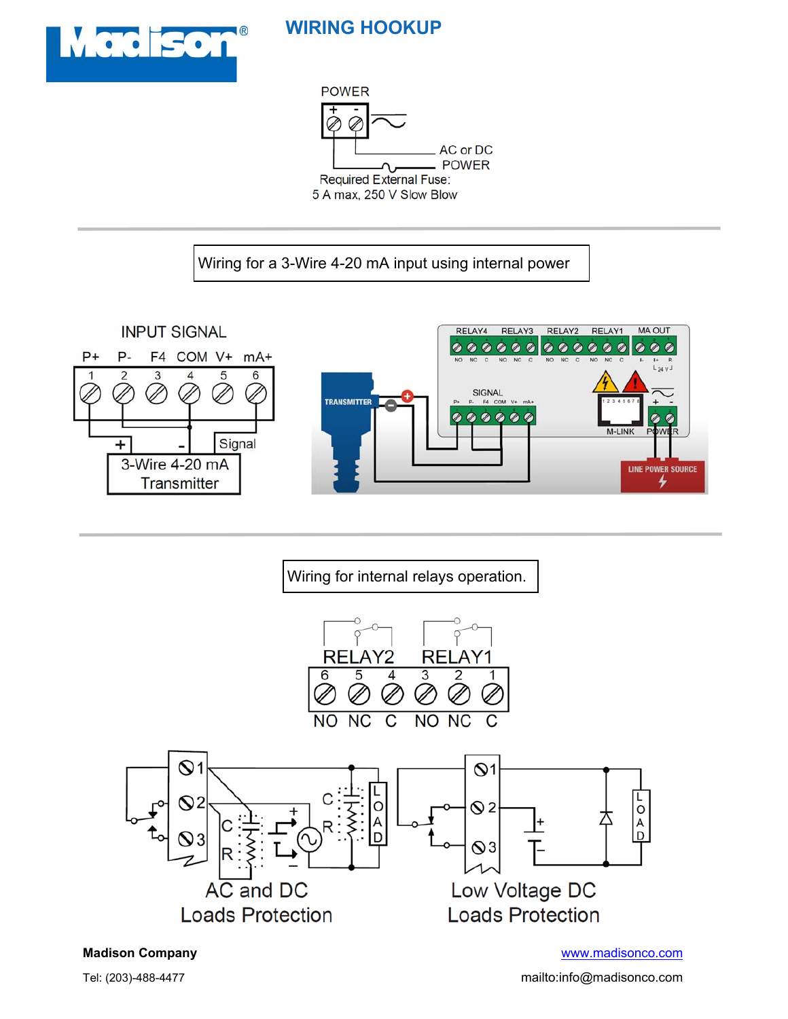

## **WIRING HOOKUP**



Wiring for a 3-Wire 4-20 mA input using internal power



Wiring for internal relays operation.



**Madison Company** www.madisonco.com

Tel: (203)-488-4477 mailto:info@madisonco.com